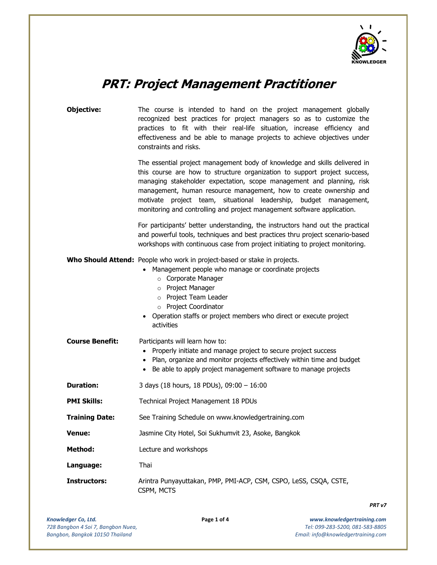

# PRT: Project Management Practitioner

| Objective:             | The course is intended to hand on the project management globally<br>recognized best practices for project managers so as to customize the<br>practices to fit with their real-life situation, increase efficiency and<br>effectiveness and be able to manage projects to achieve objectives under<br>constraints and risks.<br>The essential project management body of knowledge and skills delivered in<br>this course are how to structure organization to support project success,<br>managing stakeholder expectation, scope management and planning, risk<br>management, human resource management, how to create ownership and<br>motivate project team, situational leadership, budget management,<br>monitoring and controlling and project management software application. |  |  |  |  |
|------------------------|----------------------------------------------------------------------------------------------------------------------------------------------------------------------------------------------------------------------------------------------------------------------------------------------------------------------------------------------------------------------------------------------------------------------------------------------------------------------------------------------------------------------------------------------------------------------------------------------------------------------------------------------------------------------------------------------------------------------------------------------------------------------------------------|--|--|--|--|
|                        |                                                                                                                                                                                                                                                                                                                                                                                                                                                                                                                                                                                                                                                                                                                                                                                        |  |  |  |  |
|                        | For participants' better understanding, the instructors hand out the practical<br>and powerful tools, techniques and best practices thru project scenario-based<br>workshops with continuous case from project initiating to project monitoring.                                                                                                                                                                                                                                                                                                                                                                                                                                                                                                                                       |  |  |  |  |
|                        | Who Should Attend: People who work in project-based or stake in projects.<br>Management people who manage or coordinate projects<br>o Corporate Manager<br>Project Manager<br>$\circ$<br>o Project Team Leader<br>o Project Coordinator<br>• Operation staffs or project members who direct or execute project<br>activities                                                                                                                                                                                                                                                                                                                                                                                                                                                           |  |  |  |  |
| <b>Course Benefit:</b> | Participants will learn how to:<br>• Properly initiate and manage project to secure project success<br>Plan, organize and monitor projects effectively within time and budget<br>$\bullet$<br>Be able to apply project management software to manage projects<br>$\bullet$                                                                                                                                                                                                                                                                                                                                                                                                                                                                                                             |  |  |  |  |
| <b>Duration:</b>       | 3 days (18 hours, 18 PDUs), 09:00 - 16:00                                                                                                                                                                                                                                                                                                                                                                                                                                                                                                                                                                                                                                                                                                                                              |  |  |  |  |
| <b>PMI Skills:</b>     | Technical Project Management 18 PDUs                                                                                                                                                                                                                                                                                                                                                                                                                                                                                                                                                                                                                                                                                                                                                   |  |  |  |  |
| <b>Training Date:</b>  | See Training Schedule on www.knowledgertraining.com                                                                                                                                                                                                                                                                                                                                                                                                                                                                                                                                                                                                                                                                                                                                    |  |  |  |  |
| Venue:                 | Jasmine City Hotel, Soi Sukhumvit 23, Asoke, Bangkok                                                                                                                                                                                                                                                                                                                                                                                                                                                                                                                                                                                                                                                                                                                                   |  |  |  |  |
| <b>Method:</b>         | Lecture and workshops                                                                                                                                                                                                                                                                                                                                                                                                                                                                                                                                                                                                                                                                                                                                                                  |  |  |  |  |
| Language:              | Thai                                                                                                                                                                                                                                                                                                                                                                                                                                                                                                                                                                                                                                                                                                                                                                                   |  |  |  |  |
| <b>Instructors:</b>    | Arintra Punyayuttakan, PMP, PMI-ACP, CSM, CSPO, LeSS, CSQA, CSTE,<br>CSPM, MCTS                                                                                                                                                                                                                                                                                                                                                                                                                                                                                                                                                                                                                                                                                                        |  |  |  |  |

PRT v7

i.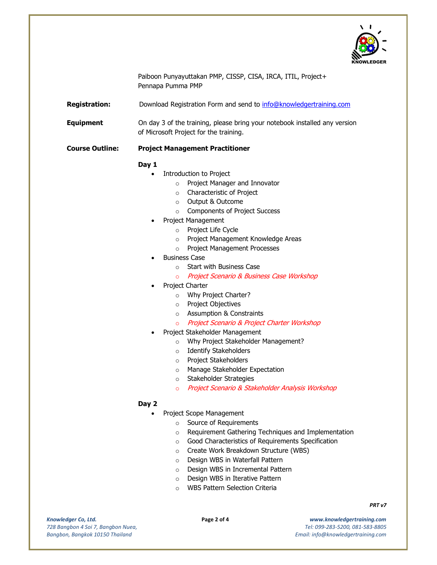

Paiboon Punyayuttakan PMP, CISSP, CISA, IRCA, ITIL, Project+ Pennapa Pumma PMP

Registration: Download Registration Form and send to info@knowledgertraining.com

**Equipment** On day 3 of the training, please bring your notebook installed any version of Microsoft Project for the training.

### Course Outline: Project Management Practitioner

## Day 1

- Introduction to Project
	- o Project Manager and Innovator
	- o Characteristic of Project
	- o Output & Outcome
	- o Components of Project Success
- Project Management
	- o Project Life Cycle
	- o Project Management Knowledge Areas
	- o Project Management Processes
- Business Case
	- o Start with Business Case
	- o Project Scenario & Business Case Workshop
- Project Charter
	- o Why Project Charter?
	- o Project Objectives
	- o Assumption & Constraints
	- o Project Scenario & Project Charter Workshop
- Project Stakeholder Management
	- o Why Project Stakeholder Management?
	- o Identify Stakeholders
		- o Project Stakeholders
		- o Manage Stakeholder Expectation
		- o Stakeholder Strategies
		- o Project Scenario & Stakeholder Analysis Workshop

## Day 2

- Project Scope Management
	- o Source of Requirements
	- o Requirement Gathering Techniques and Implementation
	- o Good Characteristics of Requirements Specification
	- o Create Work Breakdown Structure (WBS)
	- o Design WBS in Waterfall Pattern
	- o Design WBS in Incremental Pattern
	- o Design WBS in Iterative Pattern
	- o WBS Pattern Selection Criteria

Knowledger Co, Ltd. 728 Bangbon 4 Soi 7, Bangbon Nuea, Bangbon, Bangkok 10150 Thailand

i.

Page 2 of 4 www.knowledgertraining.com Tel: 099-283-5200, 081-583-8805 Email: info@knowledgertraining.com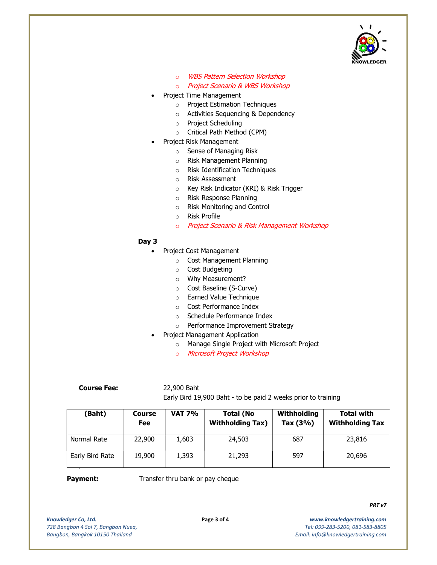

- o WBS Pattern Selection Workshop
- o Project Scenario & WBS Workshop
- Project Time Management
	- o Project Estimation Techniques
	- o Activities Sequencing & Dependency
	- o Project Scheduling
	- o Critical Path Method (CPM)
- Project Risk Management
	- o Sense of Managing Risk
	- o Risk Management Planning
	- o Risk Identification Techniques
	- o Risk Assessment
	- o Key Risk Indicator (KRI) & Risk Trigger
	- o Risk Response Planning
	- o Risk Monitoring and Control
	- o Risk Profile
	- o Project Scenario & Risk Management Workshop

#### Day 3

- Project Cost Management
	- o Cost Management Planning
	- o Cost Budgeting
	- o Why Measurement?
	- o Cost Baseline (S-Curve)
	- o Earned Value Technique
	- o Cost Performance Index
	- o Schedule Performance Index
	- o Performance Improvement Strategy
- Project Management Application
	- o Manage Single Project with Microsoft Project
	- o Microsoft Project Workshop

## Course Fee: 22,900 Baht

Early Bird 19,900 Baht - to be paid 2 weeks prior to training

| (Baht)          | <b>Course</b><br>Fee | <b>VAT 7%</b> | <b>Total (No</b><br><b>Withholding Tax)</b> | Withholding<br>Tax (3%) | <b>Total with</b><br><b>Withholding Tax</b> |
|-----------------|----------------------|---------------|---------------------------------------------|-------------------------|---------------------------------------------|
| Normal Rate     | 22,900               | 1,603         | 24,503                                      | 687                     | 23,816                                      |
| Early Bird Rate | 19,900               | 1,393         | 21,293                                      | 597                     | 20,696                                      |

## ۰

**Payment:** Transfer thru bank or pay cheque

Knowledger Co, Ltd. 728 Bangbon 4 Soi 7, Bangbon Nuea, Bangbon, Bangkok 10150 Thailand

i.

Page 3 of 4 www.knowledgertraining.com Tel: 099-283-5200, 081-583-8805 Email: info@knowledgertraining.com